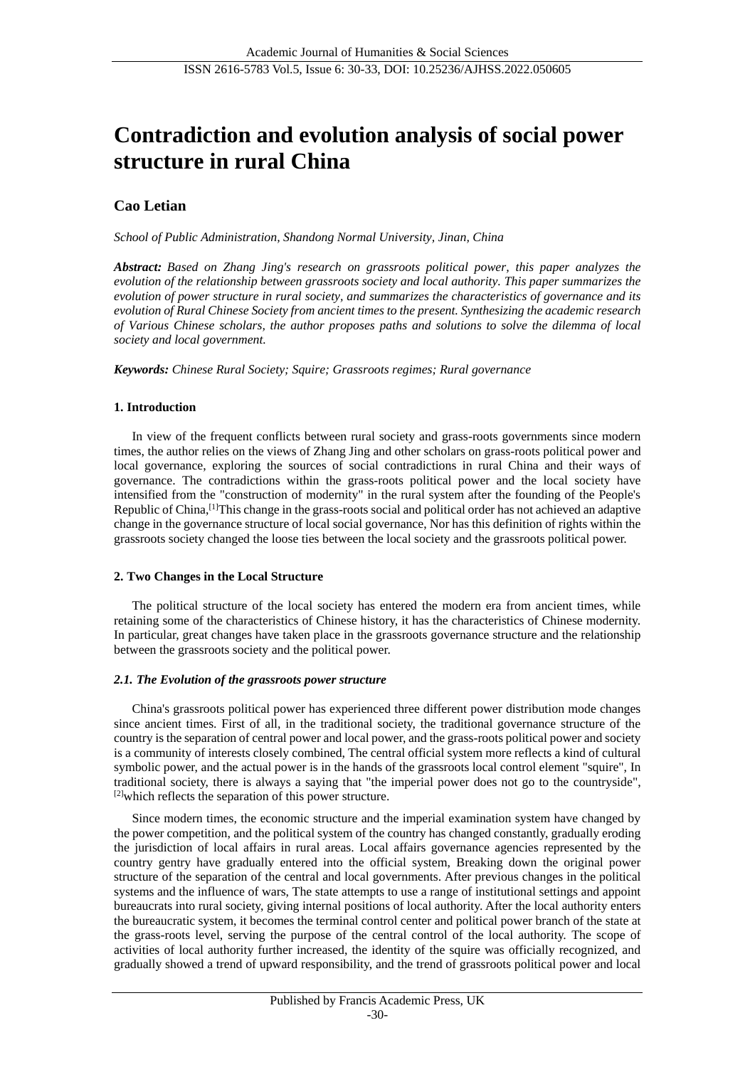# **Contradiction and evolution analysis of social power structure in rural China**

# **Cao Letian**

*School of Public Administration, Shandong Normal University, Jinan, China*

*Abstract: Based on Zhang Jing's research on grassroots political power, this paper analyzes the evolution of the relationship between grassroots society and local authority. This paper summarizes the evolution of power structure in rural society, and summarizes the characteristics of governance and its evolution of Rural Chinese Society from ancient times to the present. Synthesizing the academic research of Various Chinese scholars, the author proposes paths and solutions to solve the dilemma of local society and local government.*

*Keywords: Chinese Rural Society; Squire; Grassroots regimes; Rural governance*

#### **1. Introduction**

In view of the frequent conflicts between rural society and grass-roots governments since modern times, the author relies on the views of Zhang Jing and other scholars on grass-roots political power and local governance, exploring the sources of social contradictions in rural China and their ways of governance. The contradictions within the grass-roots political power and the local society have intensified from the "construction of modernity" in the rural system after the founding of the People's Republic of China,[1]This change in the grass-roots social and political order has not achieved an adaptive change in the governance structure of local social governance, Nor has this definition of rights within the grassroots society changed the loose ties between the local society and the grassroots political power.

#### **2. Two Changes in the Local Structure**

The political structure of the local society has entered the modern era from ancient times, while retaining some of the characteristics of Chinese history, it has the characteristics of Chinese modernity. In particular, great changes have taken place in the grassroots governance structure and the relationship between the grassroots society and the political power.

#### *2.1. The Evolution of the grassroots power structure*

China's grassroots political power has experienced three different power distribution mode changes since ancient times. First of all, in the traditional society, the traditional governance structure of the country is the separation of central power and local power, and the grass-roots political power and society is a community of interests closely combined, The central official system more reflects a kind of cultural symbolic power, and the actual power is in the hands of the grassroots local control element "squire", In traditional society, there is always a saying that "the imperial power does not go to the countryside", [2]which reflects the separation of this power structure.

Since modern times, the economic structure and the imperial examination system have changed by the power competition, and the political system of the country has changed constantly, gradually eroding the jurisdiction of local affairs in rural areas. Local affairs governance agencies represented by the country gentry have gradually entered into the official system, Breaking down the original power structure of the separation of the central and local governments. After previous changes in the political systems and the influence of wars, The state attempts to use a range of institutional settings and appoint bureaucrats into rural society, giving internal positions of local authority. After the local authority enters the bureaucratic system, it becomes the terminal control center and political power branch of the state at the grass-roots level, serving the purpose of the central control of the local authority. The scope of activities of local authority further increased, the identity of the squire was officially recognized, and gradually showed a trend of upward responsibility, and the trend of grassroots political power and local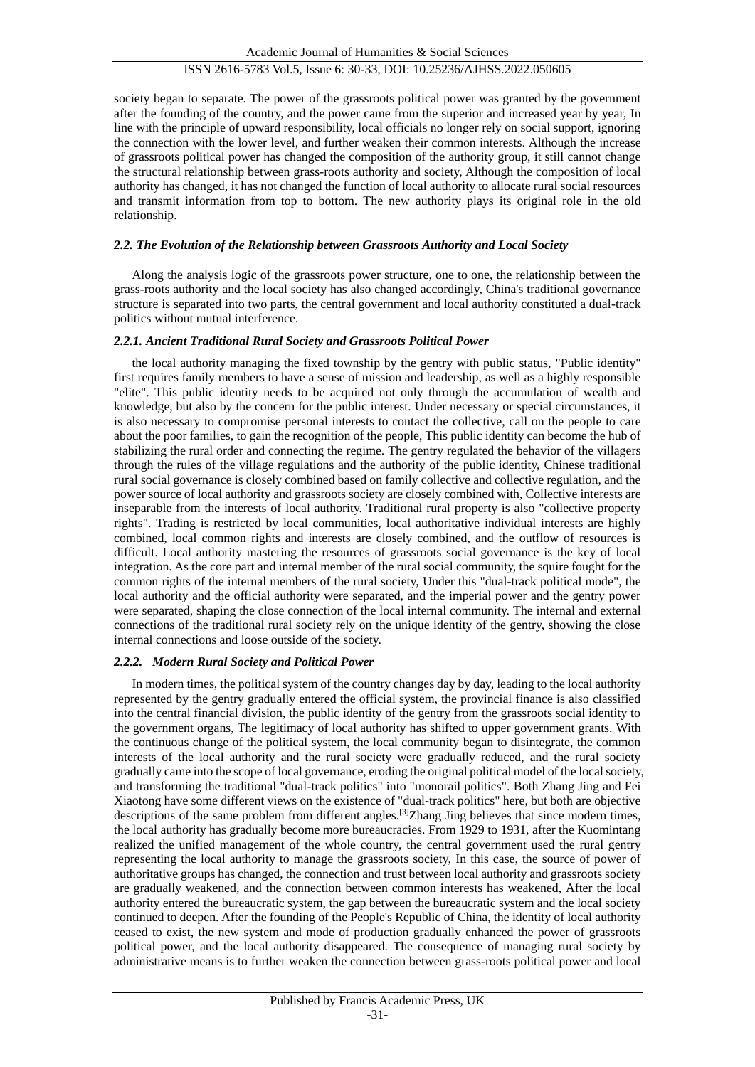# ISSN 2616-5783 Vol.5, Issue 6: 30-33, DOI: 10.25236/AJHSS.2022.050605

society began to separate. The power of the grassroots political power was granted by the government after the founding of the country, and the power came from the superior and increased year by year, In line with the principle of upward responsibility, local officials no longer rely on social support, ignoring the connection with the lower level, and further weaken their common interests. Although the increase of grassroots political power has changed the composition of the authority group, it still cannot change the structural relationship between grass-roots authority and society, Although the composition of local authority has changed, it has not changed the function of local authority to allocate rural social resources and transmit information from top to bottom. The new authority plays its original role in the old relationship.

#### *2.2. The Evolution of the Relationship between Grassroots Authority and Local Society*

Along the analysis logic of the grassroots power structure, one to one, the relationship between the grass-roots authority and the local society has also changed accordingly, China's traditional governance structure is separated into two parts, the central government and local authority constituted a dual-track politics without mutual interference.

#### *2.2.1. Ancient Traditional Rural Society and Grassroots Political Power*

the local authority managing the fixed township by the gentry with public status, "Public identity" first requires family members to have a sense of mission and leadership, as well as a highly responsible "elite". This public identity needs to be acquired not only through the accumulation of wealth and knowledge, but also by the concern for the public interest. Under necessary or special circumstances, it is also necessary to compromise personal interests to contact the collective, call on the people to care about the poor families, to gain the recognition of the people, This public identity can become the hub of stabilizing the rural order and connecting the regime. The gentry regulated the behavior of the villagers through the rules of the village regulations and the authority of the public identity, Chinese traditional rural social governance is closely combined based on family collective and collective regulation, and the power source of local authority and grassroots society are closely combined with, Collective interests are inseparable from the interests of local authority. Traditional rural property is also "collective property rights". Trading is restricted by local communities, local authoritative individual interests are highly combined, local common rights and interests are closely combined, and the outflow of resources is difficult. Local authority mastering the resources of grassroots social governance is the key of local integration. As the core part and internal member of the rural social community, the squire fought for the common rights of the internal members of the rural society, Under this "dual-track political mode", the local authority and the official authority were separated, and the imperial power and the gentry power were separated, shaping the close connection of the local internal community. The internal and external connections of the traditional rural society rely on the unique identity of the gentry, showing the close internal connections and loose outside of the society.

#### *2.2.2. Modern Rural Society and Political Power*

In modern times, the political system of the country changes day by day, leading to the local authority represented by the gentry gradually entered the official system, the provincial finance is also classified into the central financial division, the public identity of the gentry from the grassroots social identity to the government organs, The legitimacy of local authority has shifted to upper government grants. With the continuous change of the political system, the local community began to disintegrate, the common interests of the local authority and the rural society were gradually reduced, and the rural society gradually came into the scope of local governance, eroding the original political model of the local society, and transforming the traditional "dual-track politics" into "monorail politics". Both Zhang Jing and Fei Xiaotong have some different views on the existence of "dual-track politics" here, but both are objective descriptions of the same problem from different angles.<sup>[3]</sup>Zhang Jing believes that since modern times, the local authority has gradually become more bureaucracies. From 1929 to 1931, after the Kuomintang realized the unified management of the whole country, the central government used the rural gentry representing the local authority to manage the grassroots society, In this case, the source of power of authoritative groups has changed, the connection and trust between local authority and grassroots society are gradually weakened, and the connection between common interests has weakened, After the local authority entered the bureaucratic system, the gap between the bureaucratic system and the local society continued to deepen. After the founding of the People's Republic of China, the identity of local authority ceased to exist, the new system and mode of production gradually enhanced the power of grassroots political power, and the local authority disappeared. The consequence of managing rural society by administrative means is to further weaken the connection between grass-roots political power and local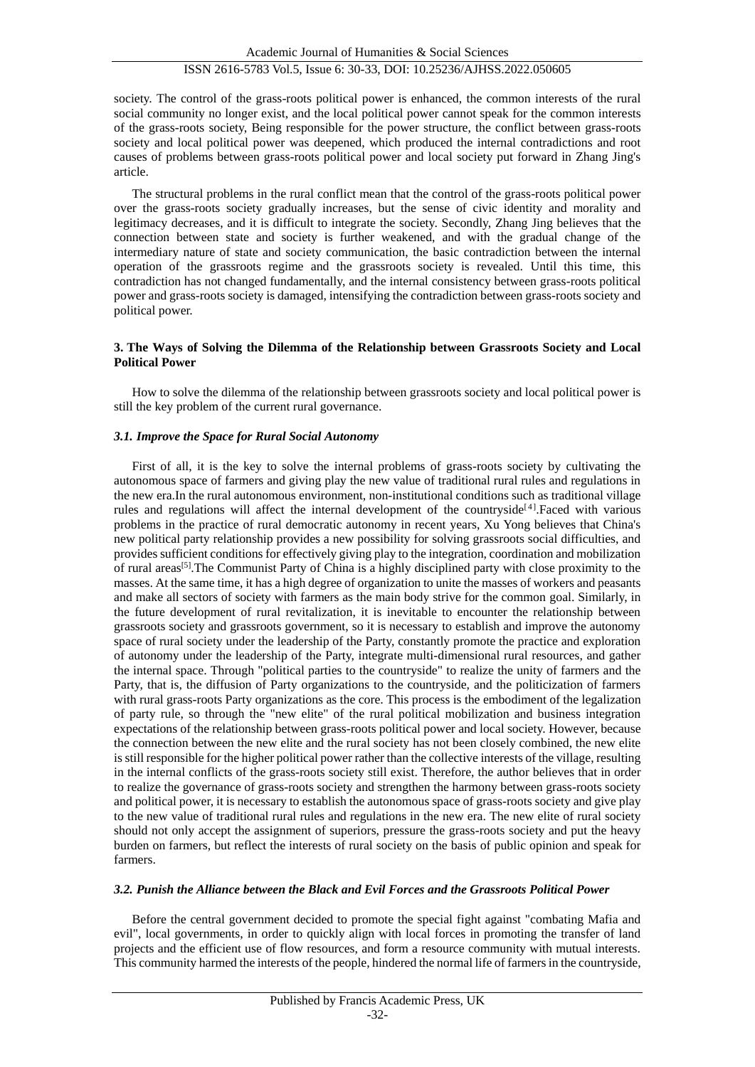society. The control of the grass-roots political power is enhanced, the common interests of the rural social community no longer exist, and the local political power cannot speak for the common interests of the grass-roots society, Being responsible for the power structure, the conflict between grass-roots society and local political power was deepened, which produced the internal contradictions and root causes of problems between grass-roots political power and local society put forward in Zhang Jing's article.

The structural problems in the rural conflict mean that the control of the grass-roots political power over the grass-roots society gradually increases, but the sense of civic identity and morality and legitimacy decreases, and it is difficult to integrate the society. Secondly, Zhang Jing believes that the connection between state and society is further weakened, and with the gradual change of the intermediary nature of state and society communication, the basic contradiction between the internal operation of the grassroots regime and the grassroots society is revealed. Until this time, this contradiction has not changed fundamentally, and the internal consistency between grass-roots political power and grass-roots society is damaged, intensifying the contradiction between grass-roots society and political power.

#### **3. The Ways of Solving the Dilemma of the Relationship between Grassroots Society and Local Political Power**

How to solve the dilemma of the relationship between grassroots society and local political power is still the key problem of the current rural governance.

# *3.1. Improve the Space for Rural Social Autonomy*

First of all, it is the key to solve the internal problems of grass-roots society by cultivating the autonomous space of farmers and giving play the new value of traditional rural rules and regulations in the new era.In the rural autonomous environment, non-institutional conditions such as traditional village rules and regulations will affect the internal development of the countryside<sup>[4]</sup>. Faced with various problems in the practice of rural democratic autonomy in recent years, Xu Yong believes that China's new political party relationship provides a new possibility for solving grassroots social difficulties, and provides sufficient conditions for effectively giving play to the integration, coordination and mobilization of rural areas<sup>[5]</sup>. The Communist Party of China is a highly disciplined party with close proximity to the masses. At the same time, it has a high degree of organization to unite the masses of workers and peasants and make all sectors of society with farmers as the main body strive for the common goal. Similarly, in the future development of rural revitalization, it is inevitable to encounter the relationship between grassroots society and grassroots government, so it is necessary to establish and improve the autonomy space of rural society under the leadership of the Party, constantly promote the practice and exploration of autonomy under the leadership of the Party, integrate multi-dimensional rural resources, and gather the internal space. Through "political parties to the countryside" to realize the unity of farmers and the Party, that is, the diffusion of Party organizations to the countryside, and the politicization of farmers with rural grass-roots Party organizations as the core. This process is the embodiment of the legalization of party rule, so through the "new elite" of the rural political mobilization and business integration expectations of the relationship between grass-roots political power and local society. However, because the connection between the new elite and the rural society has not been closely combined, the new elite is still responsible for the higher political power rather than the collective interests of the village, resulting in the internal conflicts of the grass-roots society still exist. Therefore, the author believes that in order to realize the governance of grass-roots society and strengthen the harmony between grass-roots society and political power, it is necessary to establish the autonomous space of grass-roots society and give play to the new value of traditional rural rules and regulations in the new era. The new elite of rural society should not only accept the assignment of superiors, pressure the grass-roots society and put the heavy burden on farmers, but reflect the interests of rural society on the basis of public opinion and speak for farmers.

#### *3.2. Punish the Alliance between the Black and Evil Forces and the Grassroots Political Power*

Before the central government decided to promote the special fight against "combating Mafia and evil", local governments, in order to quickly align with local forces in promoting the transfer of land projects and the efficient use of flow resources, and form a resource community with mutual interests. This community harmed the interests of the people, hindered the normal life of farmers in the countryside,